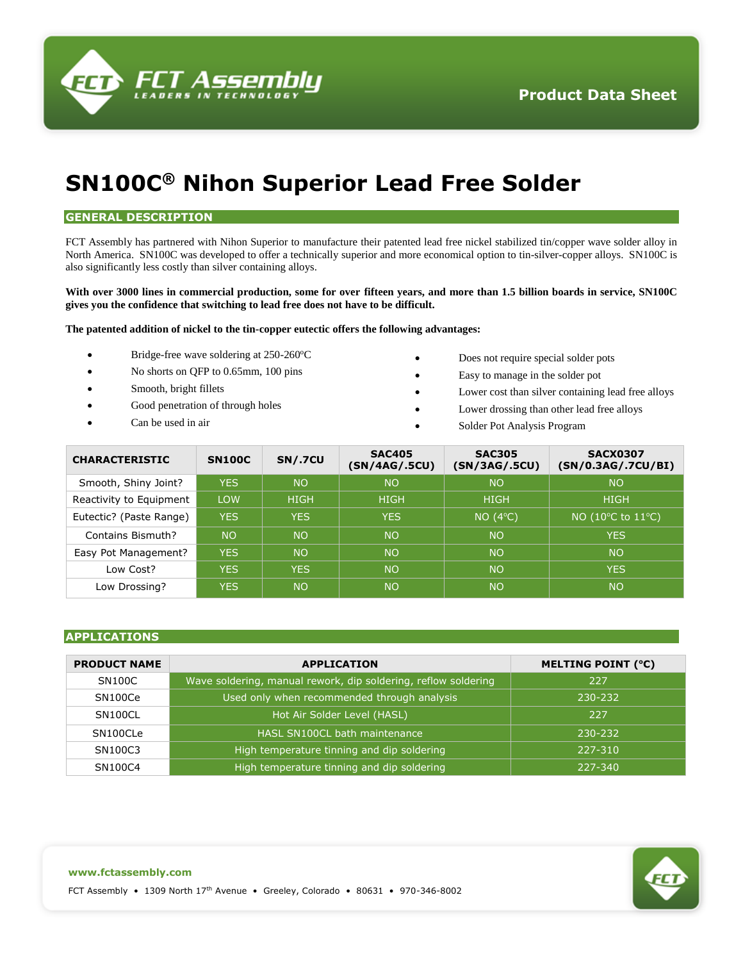

# **SN100C® Nihon Superior Lead Free Solder**

## **GENERAL DESCRIPTION**

FCT Assembly has partnered with Nihon Superior to manufacture their patented lead free nickel stabilized tin/copper wave solder alloy in North America. SN100C was developed to offer a technically superior and more economical option to tin-silver-copper alloys. SN100C is also significantly less costly than silver containing alloys.

### **With over 3000 lines in commercial production, some for over fifteen years, and more than 1.5 billion boards in service, SN100C gives you the confidence that switching to lead free does not have to be difficult.**

#### **The patented addition of nickel to the tin-copper eutectic offers the following advantages:**

- Bridge-free wave soldering at 250-260°C
- No shorts on QFP to 0.65mm, 100 pins
- Smooth, bright fillets
- Good penetration of through holes
- Can be used in air
- Does not require special solder pots
- Easy to manage in the solder pot
- Lower cost than silver containing lead free alloys
- Lower drossing than other lead free alloys
- Solder Pot Analysis Program

| <b>CHARACTERISTIC</b>   | <b>SN100C</b> | <b>SN/.7CU</b> | <b>SAC405</b><br>(SN/4AG/.5CU) | <b>SAC305</b><br>(SN/3AG/.5CU) | <b>SACX0307</b><br>(SN/0.3AG/.7CU/BI) |
|-------------------------|---------------|----------------|--------------------------------|--------------------------------|---------------------------------------|
| Smooth, Shiny Joint?    | <b>YES</b>    | <b>NO</b>      | <b>NO</b>                      | <b>NO</b>                      | <b>NO</b>                             |
| Reactivity to Equipment | LOW           | <b>HIGH</b>    | <b>HIGH</b>                    | <b>HIGH</b>                    | <b>HIGH</b>                           |
| Eutectic? (Paste Range) | <b>YES</b>    | <b>YES</b>     | <b>YES</b>                     | NO(4°C)                        | NO (10 $\degree$ C to 11 $\degree$ C) |
| Contains Bismuth?       | <b>NO</b>     | <b>NO</b>      | <b>NO</b>                      | <b>NO</b>                      | <b>YES</b>                            |
| Easy Pot Management?    | <b>YES</b>    | <b>NO</b>      | <b>NO</b>                      | <b>NO</b>                      | <b>NO</b>                             |
| Low Cost?               | <b>YES</b>    | <b>YES</b>     | <b>NO</b>                      | <b>NO</b>                      | <b>YES</b>                            |
| Low Drossing?           | <b>YES</b>    | <b>NO</b>      | <b>NO</b>                      | <b>NO</b>                      | <b>NO</b>                             |

## **APPLICATIONS**

| <b>PRODUCT NAME</b> | <b>APPLICATION</b>                                             | <b>MELTING POINT (°C)</b> |
|---------------------|----------------------------------------------------------------|---------------------------|
| <b>SN100C</b>       | Wave soldering, manual rework, dip soldering, reflow soldering | 227                       |
| SN100Ce             | Used only when recommended through analysis                    | 230-232                   |
| SN100CL             | Hot Air Solder Level (HASL)                                    | 227                       |
| SN100CLe            | HASL SN100CL bath maintenance                                  | 230-232                   |
| SN100C3             | High temperature tinning and dip soldering                     | 227-310                   |
| SN100C4             | High temperature tinning and dip soldering                     | 227-340                   |

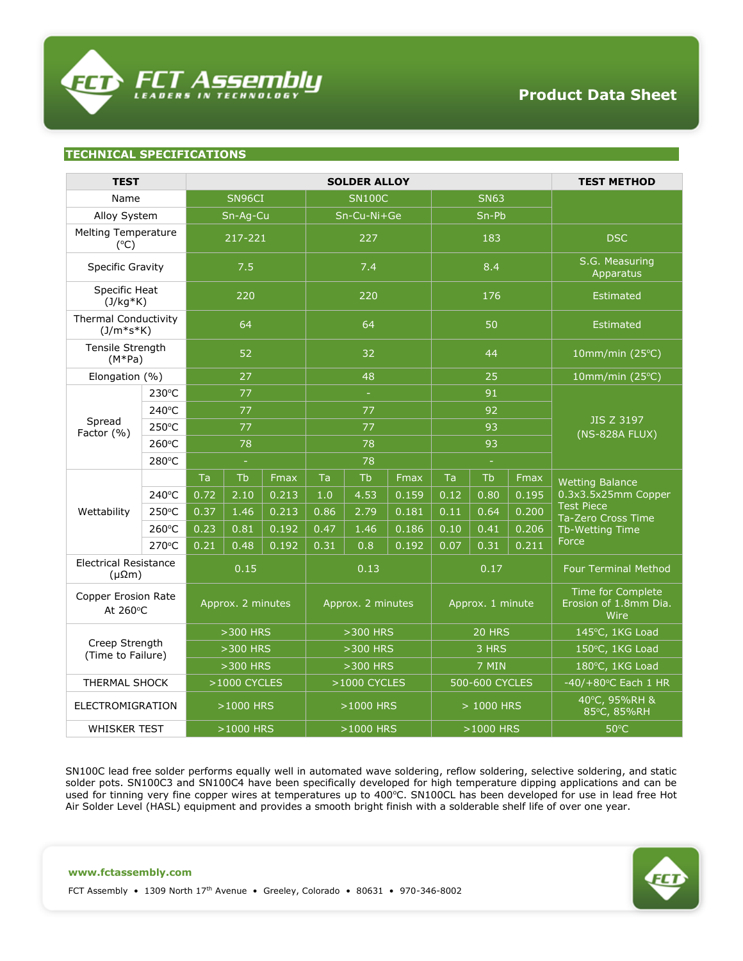

## **TECHNICAL SPECIFICATIONS**

| <b>TEST</b>                                     |                       | <b>SOLDER ALLOY</b> |      |                   |      |                  |       | <b>TEST METHOD</b> |                                                    |       |                                                                                   |
|-------------------------------------------------|-----------------------|---------------------|------|-------------------|------|------------------|-------|--------------------|----------------------------------------------------|-------|-----------------------------------------------------------------------------------|
| Name                                            |                       | SN96CI              |      | <b>SN100C</b>     |      | <b>SN63</b>      |       |                    |                                                    |       |                                                                                   |
| Alloy System                                    |                       | Sn-Ag-Cu            |      | Sn-Cu-Ni+Ge       |      | Sn-Pb            |       |                    |                                                    |       |                                                                                   |
| <b>Melting Temperature</b><br>$(^{\circ}C)$     |                       | 217-221             |      | 227               |      | 183              |       |                    | <b>DSC</b>                                         |       |                                                                                   |
| <b>Specific Gravity</b>                         |                       | 7.5                 |      | 7.4               |      | 8.4              |       |                    | S.G. Measuring<br>Apparatus                        |       |                                                                                   |
| Specific Heat<br>$(J/kg*K)$                     |                       | 220                 |      | 220               |      | 176              |       |                    | <b>Estimated</b>                                   |       |                                                                                   |
| Thermal Conductivity<br>$(J/m*s*K)$             |                       | 64                  |      | 64                |      | 50               |       |                    | <b>Estimated</b>                                   |       |                                                                                   |
| Tensile Strength<br>$(M*Pa)$                    |                       | 52                  |      | 32                |      | 44               |       |                    | 10mm/min $(25^{\circ}C)$                           |       |                                                                                   |
| Elongation (%)                                  |                       | 27                  |      | 48                |      | 25               |       |                    | 10mm/min $(25^{\circ}C)$                           |       |                                                                                   |
|                                                 | $230^{\circ}$ C       | 77                  |      | $\sim$            |      | 91               |       |                    |                                                    |       |                                                                                   |
|                                                 | 240°C                 | 77                  |      | 77<br>92          |      |                  |       |                    |                                                    |       |                                                                                   |
| Factor (%)                                      | Spread<br>250°C<br>77 |                     |      |                   | 77   |                  |       | 93                 |                                                    |       | <b>JIS Z 3197</b><br>(NS-828A FLUX)                                               |
|                                                 | 260°C                 | 78                  |      | 78                |      | 93               |       |                    |                                                    |       |                                                                                   |
|                                                 | 280°C                 | $\equiv$            |      | 78                |      | $\equiv$         |       |                    |                                                    |       |                                                                                   |
|                                                 |                       | Ta                  | Tb   | Fmax              | Ta   | Tb               | Fmax  | Ta                 | Tb                                                 | Fmax  | <b>Wetting Balance</b>                                                            |
|                                                 | 240°C                 | 0.72                | 2.10 | 0.213             | 1.0  | 4.53             | 0.159 | 0.12               | 0.80                                               | 0.195 | 0.3x3.5x25mm Copper<br><b>Test Piece</b><br>Ta-Zero Cross Time<br>Tb-Wetting Time |
| Wettability                                     | 250°C                 | 0.37                | 1.46 | 0.213             | 0.86 | 2.79             | 0.181 | 0.11               | 0.64                                               | 0.200 |                                                                                   |
|                                                 | 260°C                 | 0.23                | 0.81 | 0.192             | 0.47 | 1.46             | 0.186 | 0.10               | 0.41                                               | 0.206 |                                                                                   |
|                                                 | 270°C                 | 0.21                | 0.48 | 0.192             | 0.31 | 0.8              | 0.192 | 0.07               | 0.31                                               | 0.211 | Force                                                                             |
| <b>Electrical Resistance</b><br>$(\mu\Omega m)$ |                       | 0.15                |      | 0.13              |      | 0.17             |       |                    | <b>Four Terminal Method</b>                        |       |                                                                                   |
| <b>Copper Erosion Rate</b><br>At 260°C          |                       | Approx. 2 minutes   |      | Approx. 2 minutes |      | Approx. 1 minute |       |                    | Time for Complete<br>Erosion of 1.8mm Dia.<br>Wire |       |                                                                                   |
| Creep Strength<br>(Time to Failure)             |                       | $>300$ HRS          |      | $>300$ HRS        |      | 20 HRS           |       |                    | 145°C, 1KG Load                                    |       |                                                                                   |
|                                                 |                       | >300 HRS            |      | >300 HRS          |      | 3 HRS            |       |                    | 150°C, 1KG Load                                    |       |                                                                                   |
|                                                 |                       | >300 HRS            |      | >300 HRS          |      | 7 MIN            |       |                    | 180°C, 1KG Load                                    |       |                                                                                   |
| THERMAL SHOCK                                   |                       | >1000 CYCLES        |      | >1000 CYCLES      |      | 500-600 CYCLES   |       |                    | -40/+80°C Each 1 HR                                |       |                                                                                   |
| ELECTROMIGRATION                                |                       | >1000 HRS           |      | >1000 HRS         |      | > 1000 HRS       |       |                    | 40°C, 95%RH &<br>85°C, 85%RH                       |       |                                                                                   |
| WHISKER TEST                                    |                       | >1000 HRS           |      | >1000 HRS         |      | >1000 HRS        |       |                    | $50^{\circ}$ C                                     |       |                                                                                   |

SN100C lead free solder performs equally well in automated wave soldering, reflow soldering, selective soldering, and static solder pots. SN100C3 and SN100C4 have been specifically developed for high temperature dipping applications and can be used for tinning very fine copper wires at temperatures up to 400°C. SN100CL has been developed for use in lead free Hot Air Solder Level (HASL) equipment and provides a smooth bright finish with a solderable shelf life of over one year.

FCT Assembly • 1309 North 17th Avenue • Greeley, Colorado • 80631 • 970-346-8002

**www.fctassembly.com**